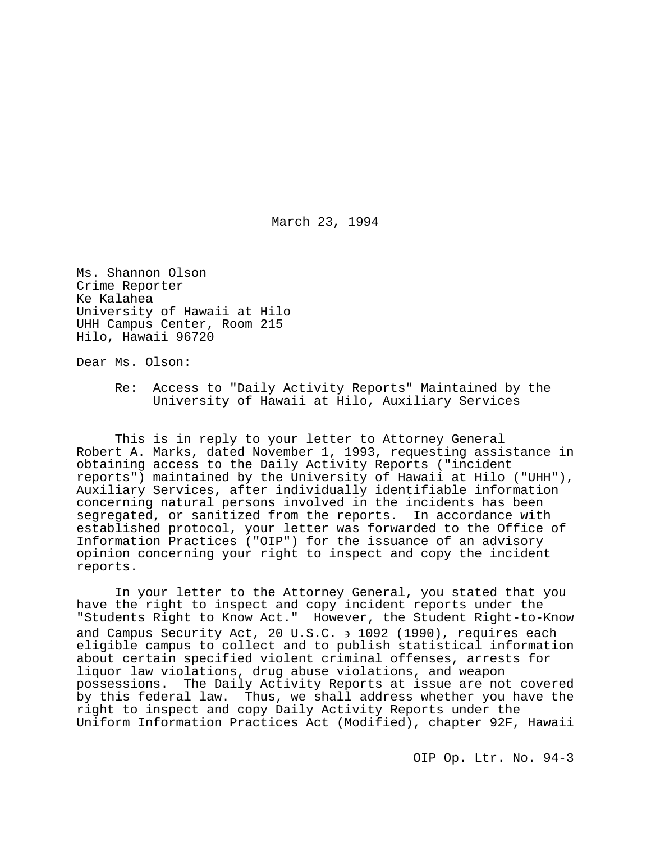March 23, 1994

Ms. Shannon Olson Crime Reporter Ke Kalahea University of Hawaii at Hilo UHH Campus Center, Room 215 Hilo, Hawaii 96720

Dear Ms. Olson:

Re: Access to "Daily Activity Reports" Maintained by the University of Hawaii at Hilo, Auxiliary Services

This is in reply to your letter to Attorney General Robert A. Marks, dated November 1, 1993, requesting assistance in obtaining access to the Daily Activity Reports ("incident reports") maintained by the University of Hawaii at Hilo ("UHH"), Auxiliary Services, after individually identifiable information concerning natural persons involved in the incidents has been segregated, or sanitized from the reports. In accordance with established protocol, your letter was forwarded to the Office of Information Practices ("OIP") for the issuance of an advisory opinion concerning your right to inspect and copy the incident reports.

In your letter to the Attorney General, you stated that you have the right to inspect and copy incident reports under the "Students Right to Know Act." However, the Student Right-to-Know and Campus Security Act, 20 U.S.C. ∋ 1092 (1990), requires each eligible campus to collect and to publish statistical information about certain specified violent criminal offenses, arrests for liquor law violations, drug abuse violations, and weapon possessions. The Daily Activity Reports at issue are not covered by this federal law. Thus, we shall address whether you have the right to inspect and copy Daily Activity Reports under the Uniform Information Practices Act (Modified), chapter 92F, Hawaii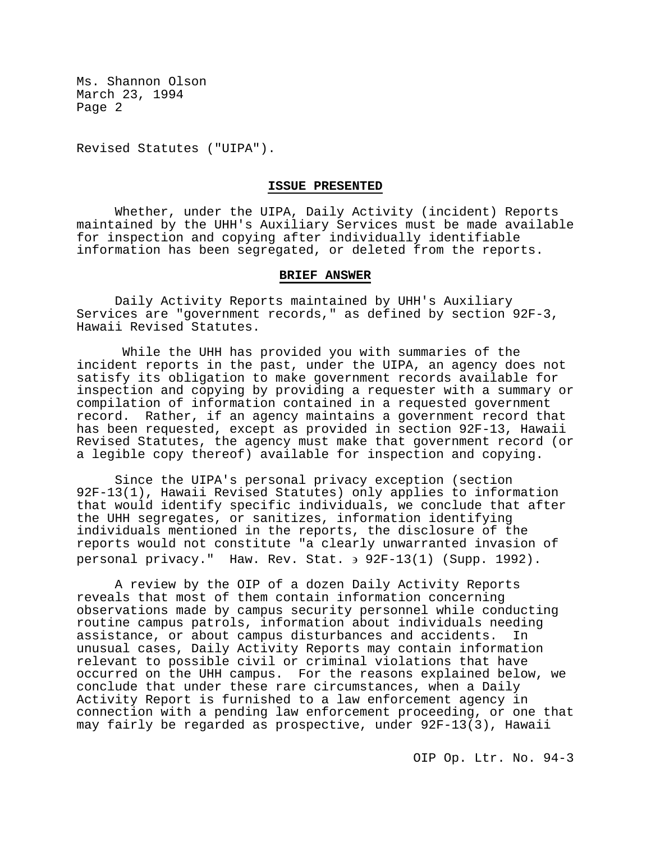Revised Statutes ("UIPA").

#### **ISSUE PRESENTED**

Whether, under the UIPA, Daily Activity (incident) Reports maintained by the UHH's Auxiliary Services must be made available for inspection and copying after individually identifiable information has been segregated, or deleted from the reports.

#### **BRIEF ANSWER**

Daily Activity Reports maintained by UHH's Auxiliary Services are "government records," as defined by section 92F-3, Hawaii Revised Statutes.

While the UHH has provided you with summaries of the incident reports in the past, under the UIPA, an agency does not satisfy its obligation to make government records available for inspection and copying by providing a requester with a summary or compilation of information contained in a requested government<br>record. Rather, if an agency maintains a government record the Rather, if an agency maintains a government record that has been requested, except as provided in section 92F-13, Hawaii Revised Statutes, the agency must make that government record (or a legible copy thereof) available for inspection and copying.

Since the UIPA's personal privacy exception (section 92F-13(1), Hawaii Revised Statutes) only applies to information that would identify specific individuals, we conclude that after the UHH segregates, or sanitizes, information identifying individuals mentioned in the reports, the disclosure of the reports would not constitute "a clearly unwarranted invasion of personal privacy." Haw. Rev. Stat. ∋ 92F-13(1) (Supp. 1992).

A review by the OIP of a dozen Daily Activity Reports reveals that most of them contain information concerning observations made by campus security personnel while conducting routine campus patrols, information about individuals needing assistance, or about campus disturbances and accidents. unusual cases, Daily Activity Reports may contain information relevant to possible civil or criminal violations that have occurred on the UHH campus. For the reasons explained below, we conclude that under these rare circumstances, when a Daily Activity Report is furnished to a law enforcement agency in connection with a pending law enforcement proceeding, or one that may fairly be regarded as prospective, under 92F-13(3), Hawaii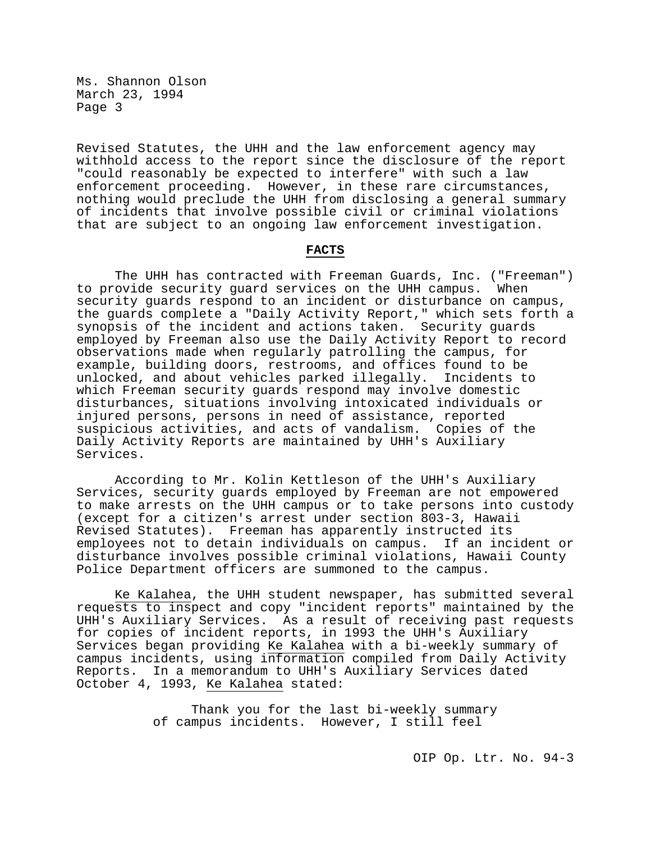Revised Statutes, the UHH and the law enforcement agency may withhold access to the report since the disclosure of the report "could reasonably be expected to interfere" with such a law enforcement proceeding. However, in these rare circumstances, nothing would preclude the UHH from disclosing a general summary of incidents that involve possible civil or criminal violations that are subject to an ongoing law enforcement investigation.

#### **FACTS**

The UHH has contracted with Freeman Guards, Inc. ("Freeman")<br>ovide security quard services on the UHH campus. When to provide security quard services on the UHH campus. security guards respond to an incident or disturbance on campus, the guards complete a "Daily Activity Report," which sets forth a synopsis of the incident and actions taken. Security guards employed by Freeman also use the Daily Activity Report to record observations made when regularly patrolling the campus, for example, building doors, restrooms, and offices found to be unlocked, and about vehicles parked illegally. Incidents to which Freeman security guards respond may involve domestic disturbances, situations involving intoxicated individuals or injured persons, persons in need of assistance, reported suspicious activities, and acts of vandalism. Copies of the Daily Activity Reports are maintained by UHH's Auxiliary Services.

According to Mr. Kolin Kettleson of the UHH's Auxiliary Services, security guards employed by Freeman are not empowered to make arrests on the UHH campus or to take persons into custody (except for a citizen's arrest under section 803-3, Hawaii Revised Statutes). Freeman has apparently instructed its employees not to detain individuals on campus. If an incident or disturbance involves possible criminal violations, Hawaii County Police Department officers are summoned to the campus.

Ke Kalahea, the UHH student newspaper, has submitted several requests to inspect and copy "incident reports" maintained by the UHH's Auxiliary Services. As a result of receiving past requests for copies of incident reports, in 1993 the UHH's Auxiliary Services began providing Ke Kalahea with a bi-weekly summary of campus incidents, using information compiled from Daily Activity Reports. In a memorandum to UHH's Auxiliary Services dated October 4, 1993, Ke Kalahea stated:

> Thank you for the last bi-weekly summary of campus incidents. However, I still feel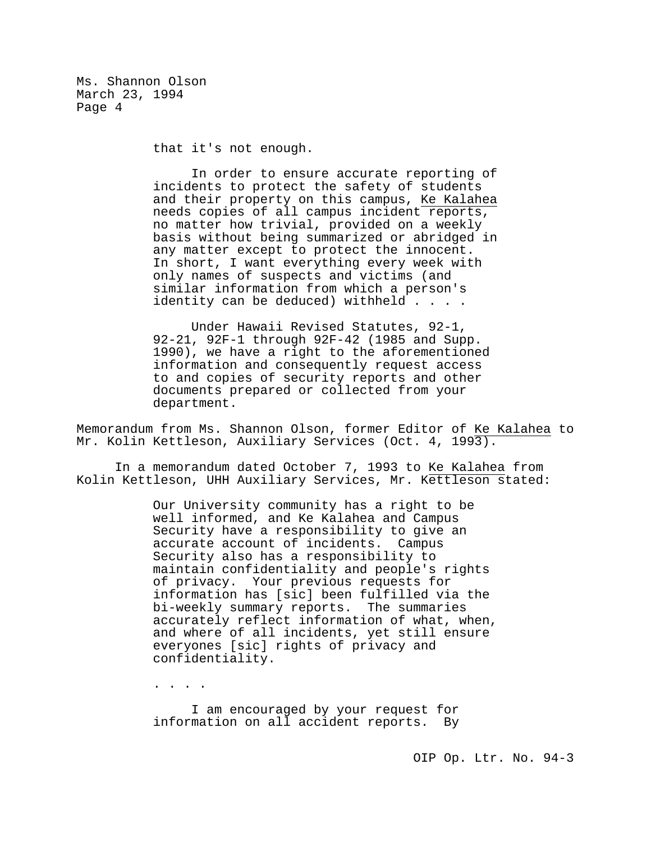that it's not enough.

In order to ensure accurate reporting of incidents to protect the safety of students and their property on this campus, Ke Kalahea needs copies of all campus incident reports, no matter how trivial, provided on a weekly basis without being summarized or abridged in any matter except to protect the innocent. In short, I want everything every week with only names of suspects and victims (and similar information from which a person's identity can be deduced) withheld . . . .

Under Hawaii Revised Statutes, 92-1, 92-21, 92F-1 through 92F-42 (1985 and Supp. 1990), we have a right to the aforementioned information and consequently request access to and copies of security reports and other documents prepared or collected from your department.

Memorandum from Ms. Shannon Olson, former Editor of Ke Kalahea to Mr. Kolin Kettleson, Auxiliary Services (Oct. 4, 1993).

In a memorandum dated October 7, 1993 to Ke Kalahea from Kolin Kettleson, UHH Auxiliary Services, Mr. Kettleson stated:

> Our University community has a right to be well informed, and Ke Kalahea and Campus Security have a responsibility to give an accurate account of incidents. Campus Security also has a responsibility to maintain confidentiality and people's rights of privacy. Your previous requests for information has [sic] been fulfilled via the bi-weekly summary reports. The summaries accurately reflect information of what, when, and where of all incidents, yet still ensure everyones [sic] rights of privacy and confidentiality.

. . . .

I am encouraged by your request for information on all accident reports. By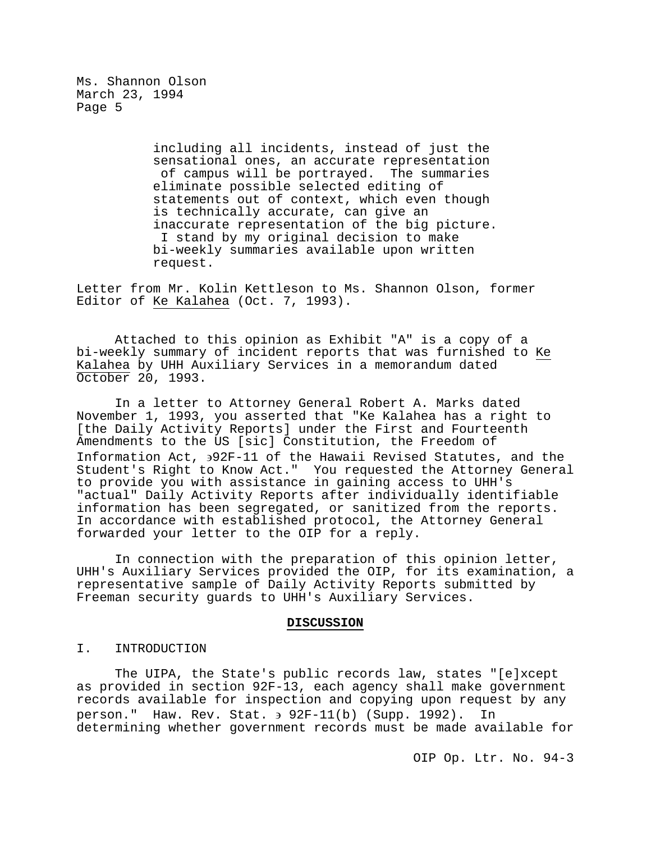> including all incidents, instead of just the sensational ones, an accurate representation of campus will be portrayed. The summaries eliminate possible selected editing of statements out of context, which even though is technically accurate, can give an inaccurate representation of the big picture. I stand by my original decision to make bi-weekly summaries available upon written request.

Letter from Mr. Kolin Kettleson to Ms. Shannon Olson, former Editor of Ke Kalahea (Oct. 7, 1993).

Attached to this opinion as Exhibit "A" is a copy of a bi-weekly summary of incident reports that was furnished to Ke Kalahea by UHH Auxiliary Services in a memorandum dated October 20, 1993.

In a letter to Attorney General Robert A. Marks dated November 1, 1993, you asserted that "Ke Kalahea has a right to [the Daily Activity Reports] under the First and Fourteenth Amendments to the US [sic] Constitution, the Freedom of Information Act, ∋92F-11 of the Hawaii Revised Statutes, and the Student's Right to Know Act." You requested the Attorney General to provide you with assistance in gaining access to UHH's "actual" Daily Activity Reports after individually identifiable information has been segregated, or sanitized from the reports. In accordance with established protocol, the Attorney General forwarded your letter to the OIP for a reply.

In connection with the preparation of this opinion letter, UHH's Auxiliary Services provided the OIP, for its examination, a representative sample of Daily Activity Reports submitted by Freeman security guards to UHH's Auxiliary Services.

#### **DISCUSSION**

## I. INTRODUCTION

The UIPA, the State's public records law, states "[e]xcept as provided in section 92F-13, each agency shall make government records available for inspection and copying upon request by any person." Haw. Rev. Stat. ∋ 92F-11(b) (Supp. 1992). In determining whether government records must be made available for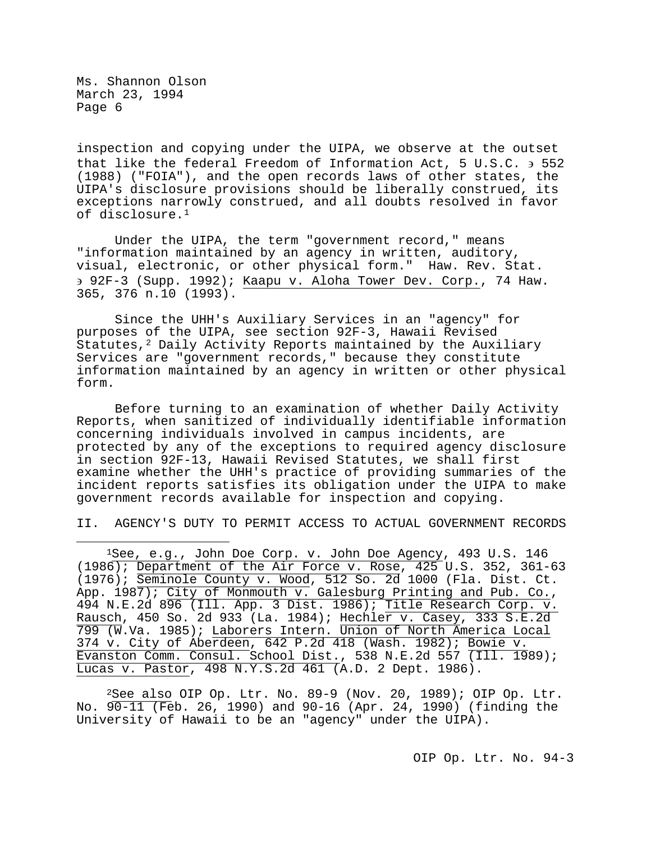inspection and copying under the UIPA, we observe at the outset that like the federal Freedom of Information Act, 5 U.S.C. ∋ 552 (1988) ("FOIA"), and the open records laws of other states, the UIPA's disclosure provisions should be liberally construed, its exceptions narrowly construed, and all doubts resolved in favor of disclosure.[1](#page-5-0)

Under the UIPA, the term "government record," means "information maintained by an agency in written, auditory, visual, electronic, or other physical form." Haw. Rev. Stat. ∋ 92F-3 (Supp. 1992); Kaapu v. Aloha Tower Dev. Corp., 74 Haw. 365, 376 n.10 (1993).

Since the UHH's Auxiliary Services in an "agency" for purposes of the UIPA, see section 92F-3, Hawaii Revised Statutes, $2$  Daily Activity Reports maintained by the Auxiliary Services are "government records," because they constitute information maintained by an agency in written or other physical form.

Before turning to an examination of whether Daily Activity Reports, when sanitized of individually identifiable information concerning individuals involved in campus incidents, are protected by any of the exceptions to required agency disclosure in section 92F-13, Hawaii Revised Statutes, we shall first examine whether the UHH's practice of providing summaries of the incident reports satisfies its obligation under the UIPA to make government records available for inspection and copying.

II. AGENCY'S DUTY TO PERMIT ACCESS TO ACTUAL GOVERNMENT RECORDS

<span id="page-5-0"></span>Ĩ. 1See, e.g., John Doe Corp. v. John Doe Agency, 493 U.S. 146 (1986); Department of the Air Force v. Rose, 425 U.S. 352, 361-63 (1976); Seminole County v. Wood, 512 So. 2d 1000 (Fla. Dist. Ct. App. 1987); City of Monmouth v. Galesburg Printing and Pub. Co., 494 N.E.2d 896 (Ill. App. 3 Dist. 1986); Title Research Corp. v. Rausch, 450 So. 2d 933 (La. 1984); Hechler v. Casey, 333 S.E.2d 799 (W.Va. 1985); Laborers Intern. Union of North America Local 374 v. City of Aberdeen, 642 P.2d 418 (Wash. 1982); Bowie v. Evanston Comm. Consul. School Dist., 538 N.E.2d 557 (Ill. 1989); Lucas v. Pastor, 498 N.Y.S.2d 461 (A.D. 2 Dept. 1986).

<span id="page-5-1"></span> $2$ See also OIP Op. Ltr. No. 89-9 (Nov. 20, 1989); OIP Op. Ltr. No. 90-11 (Feb. 26, 1990) and 90-16 (Apr. 24, 1990) (finding the University of Hawaii to be an "agency" under the UIPA).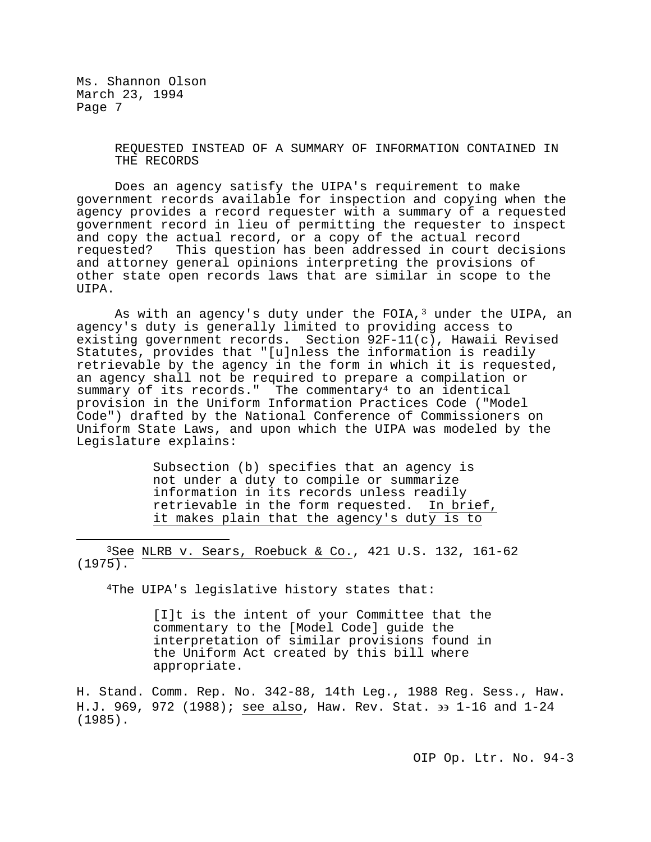> REQUESTED INSTEAD OF A SUMMARY OF INFORMATION CONTAINED IN THE RECORDS

Does an agency satisfy the UIPA's requirement to make government records available for inspection and copying when the agency provides a record requester with a summary of a requested government record in lieu of permitting the requester to inspect and copy the actual record, or a copy of the actual record<br>requested? This question has been addressed in court dec: This question has been addressed in court decisions and attorney general opinions interpreting the provisions of other state open records laws that are similar in scope to the UIPA.

As with an agency's duty under the FOIA, $3$  under the UIPA, an agency's duty is generally limited to providing access to existing government records. Section 92F-11(c), Hawaii Revised Statutes, provides that "[u]nless the information is readily retrievable by the agency in the form in which it is requested, an agency shall not be required to prepare a compilation or summary of its records." The commentary<sup>4</sup> to an identical provision in the Uniform Information Practices Code ("Model Code") drafted by the National Conference of Commissioners on Uniform State Laws, and upon which the UIPA was modeled by the Legislature explains:

> Subsection (b) specifies that an agency is not under a duty to compile or summarize information in its records unless readily<br>retrievable in the form requested. In brief, retrievable in the form requested. it makes plain that the agency's duty is to

<span id="page-6-1"></span><span id="page-6-0"></span>Ĩ.  $3$ See NLRB v. Sears, Roebuck & Co., 421 U.S. 132, 161-62 (1975).

4The UIPA's legislative history states that:

[I]t is the intent of your Committee that the commentary to the [Model Code] guide the interpretation of similar provisions found in the Uniform Act created by this bill where appropriate.

H. Stand. Comm. Rep. No. 342-88, 14th Leg., 1988 Reg. Sess., Haw. H.J. 969, 972 (1988); see also, Haw. Rev. Stat. ∋∋ 1-16 and 1-24 (1985).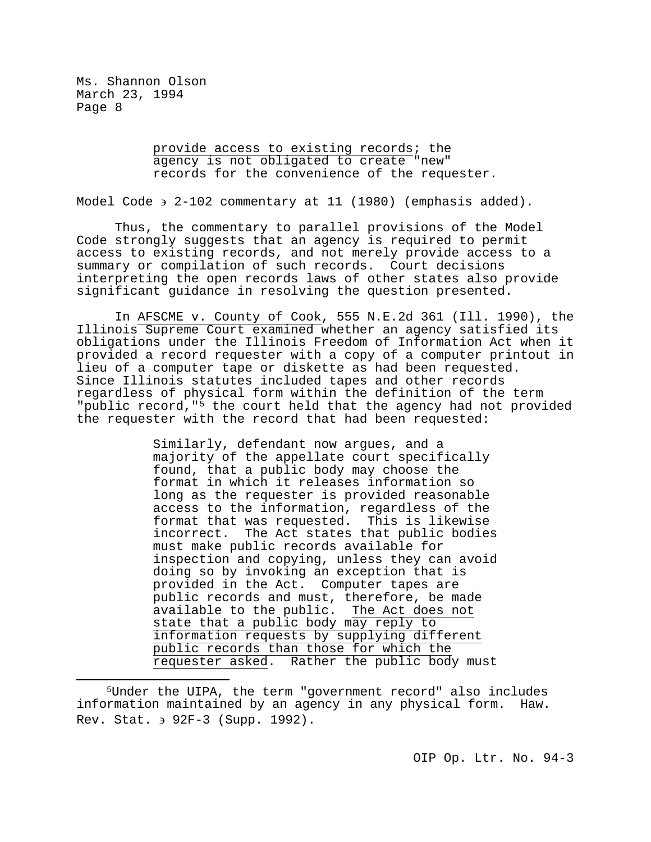> provide access to existing records; the agency is not obligated to create "new" records for the convenience of the requester.

Model Code ∋ 2-102 commentary at 11 (1980) (emphasis added).

Thus, the commentary to parallel provisions of the Model Code strongly suggests that an agency is required to permit access to existing records, and not merely provide access to a summary or compilation of such records. Court decisions interpreting the open records laws of other states also provide significant guidance in resolving the question presented.

In AFSCME v. County of Cook, 555 N.E.2d 361 (Ill. 1990), the Illinois Supreme Court examined whether an agency satisfied its obligations under the Illinois Freedom of Information Act when it provided a record requester with a copy of a computer printout in lieu of a computer tape or diskette as had been requested. Since Illinois statutes included tapes and other records regardless of physical form within the definition of the term "public record,"[5](#page-7-0) the court held that the agency had not provided the requester with the record that had been requested:

> Similarly, defendant now argues, and a majority of the appellate court specifically found, that a public body may choose the format in which it releases information so long as the requester is provided reasonable access to the information, regardless of the format that was requested. This is likewise<br>incorrect. The Act states that public bodies The Act states that public bodies must make public records available for inspection and copying, unless they can avoid doing so by invoking an exception that is provided in the Act. Computer tapes are public records and must, therefore, be made available to the public. The Act does not state that a public body may reply to information requests by supplying different public records than those for which the requester asked. Rather the public body must

<span id="page-7-0"></span>Ĩ. <sup>5</sup>Under the UIPA, the term "government record" also includes<br>rmation maintained by an agency in any physical form. Haw. information maintained by an agency in any physical form. Rev. Stat. ∋ 92F-3 (Supp. 1992).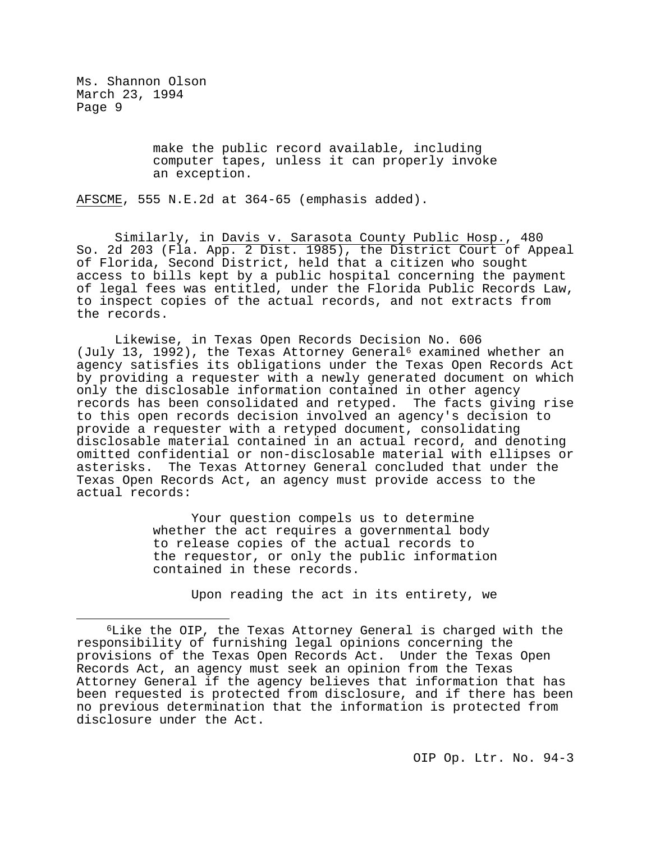> make the public record available, including computer tapes, unless it can properly invoke an exception.

AFSCME, 555 N.E.2d at 364-65 (emphasis added).

Similarly, in Davis v. Sarasota County Public Hosp., 480 So. 2d 203 (Fla. App. 2 Dist. 1985), the District Court of Appeal of Florida, Second District, held that a citizen who sought access to bills kept by a public hospital concerning the payment of legal fees was entitled, under the Florida Public Records Law, to inspect copies of the actual records, and not extracts from the records.

Likewise, in Texas Open Records Decision No. 606 (July 13, 1992), the Texas Attorney General<sup>[6](#page-8-0)</sup> examined whether an agency satisfies its obligations under the Texas Open Records Act by providing a requester with a newly generated document on which only the disclosable information contained in other agency records has been consolidated and retyped. The facts giving rise to this open records decision involved an agency's decision to provide a requester with a retyped document, consolidating disclosable material contained in an actual record, and denoting omitted confidential or non-disclosable material with ellipses or asterisks. The Texas Attorney General concluded that under the Texas Open Records Act, an agency must provide access to the actual records:

> Your question compels us to determine whether the act requires a governmental body to release copies of the actual records to the requestor, or only the public information contained in these records.

> > Upon reading the act in its entirety, we

<span id="page-8-0"></span>Ĩ. 6Like the OIP, the Texas Attorney General is charged with the responsibility of furnishing legal opinions concerning the provisions of the Texas Open Records Act. Under the Texas Open Records Act, an agency must seek an opinion from the Texas Attorney General if the agency believes that information that has been requested is protected from disclosure, and if there has been no previous determination that the information is protected from disclosure under the Act.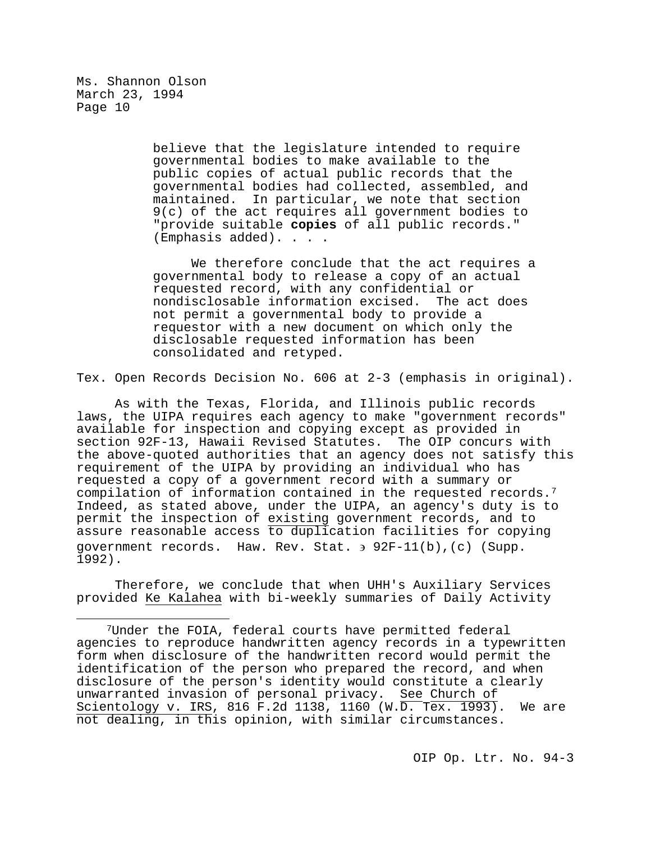> believe that the legislature intended to require governmental bodies to make available to the public copies of actual public records that the governmental bodies had collected, assembled, and maintained. In particular, we note that section 9(c) of the act requires all government bodies to "provide suitable **copies** of all public records." (Emphasis added). . . .

We therefore conclude that the act requires a governmental body to release a copy of an actual requested record, with any confidential or nondisclosable information excised. The act does not permit a governmental body to provide a requestor with a new document on which only the disclosable requested information has been consolidated and retyped.

Tex. Open Records Decision No. 606 at 2-3 (emphasis in original).

As with the Texas, Florida, and Illinois public records laws, the UIPA requires each agency to make "government records" available for inspection and copying except as provided in section 92F-13, Hawaii Revised Statutes. The OIP concurs with the above-quoted authorities that an agency does not satisfy this requirement of the UIPA by providing an individual who has requested a copy of a government record with a summary or compilation of information contained in the requested records.[7](#page-9-0)  Indeed, as stated above, under the UIPA, an agency's duty is to permit the inspection of existing government records, and to assure reasonable access to duplication facilities for copying government records. Haw. Rev. Stat. ∋ 92F-11(b),(c) (Supp. 1992).

Therefore, we conclude that when UHH's Auxiliary Services provided Ke Kalahea with bi-weekly summaries of Daily Activity

<span id="page-9-0"></span>Ĩ. 7Under the FOIA, federal courts have permitted federal agencies to reproduce handwritten agency records in a typewritten form when disclosure of the handwritten record would permit the identification of the person who prepared the record, and when disclosure of the person's identity would constitute a clearly unwarranted invasion of personal privacy. See Church of Scientology v. IRS, 816 F.2d 1138, 1160 (W.D. Tex. 1993). We are not dealing, in this opinion, with similar circumstances.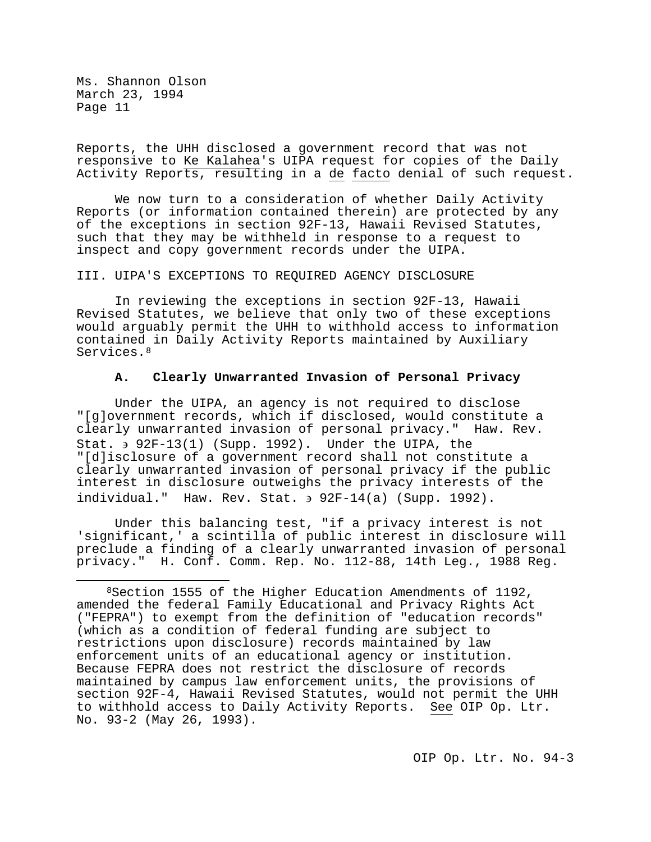Reports, the UHH disclosed a government record that was not responsive to Ke Kalahea's UIPA request for copies of the Daily Activity Reports, resulting in a de facto denial of such request.

We now turn to a consideration of whether Daily Activity Reports (or information contained therein) are protected by any of the exceptions in section 92F-13, Hawaii Revised Statutes, such that they may be withheld in response to a request to inspect and copy government records under the UIPA.

### III. UIPA'S EXCEPTIONS TO REQUIRED AGENCY DISCLOSURE

In reviewing the exceptions in section 92F-13, Hawaii Revised Statutes, we believe that only two of these exceptions would arguably permit the UHH to withhold access to information contained in Daily Activity Reports maintained by Auxiliary Services.<sup>[8](#page-10-0)</sup>

## **A. Clearly Unwarranted Invasion of Personal Privacy**

Under the UIPA, an agency is not required to disclose "[g]overnment records, which if disclosed, would constitute a clearly unwarranted invasion of personal privacy." Haw. Rev. Stat. ∋ 92F-13(1) (Supp. 1992). Under the UIPA, the "[d]isclosure of a government record shall not constitute a clearly unwarranted invasion of personal privacy if the public interest in disclosure outweighs the privacy interests of the individual." Haw. Rev. Stat. ∋ 92F-14(a) (Supp. 1992).

Under this balancing test, "if a privacy interest is not 'significant,' a scintilla of public interest in disclosure will preclude a finding of a clearly unwarranted invasion of personal privacy." H. Conf. Comm. Rep. No. 112-88, 14th Leg., 1988 Reg.

<span id="page-10-0"></span>Ĩ. 8Section 1555 of the Higher Education Amendments of 1192, amended the federal Family Educational and Privacy Rights Act ("FEPRA") to exempt from the definition of "education records" (which as a condition of federal funding are subject to restrictions upon disclosure) records maintained by law enforcement units of an educational agency or institution. Because FEPRA does not restrict the disclosure of records maintained by campus law enforcement units, the provisions of section 92F-4, Hawaii Revised Statutes, would not permit the UHH to withhold access to Daily Activity Reports. See OIP Op. Ltr. No. 93-2 (May 26, 1993).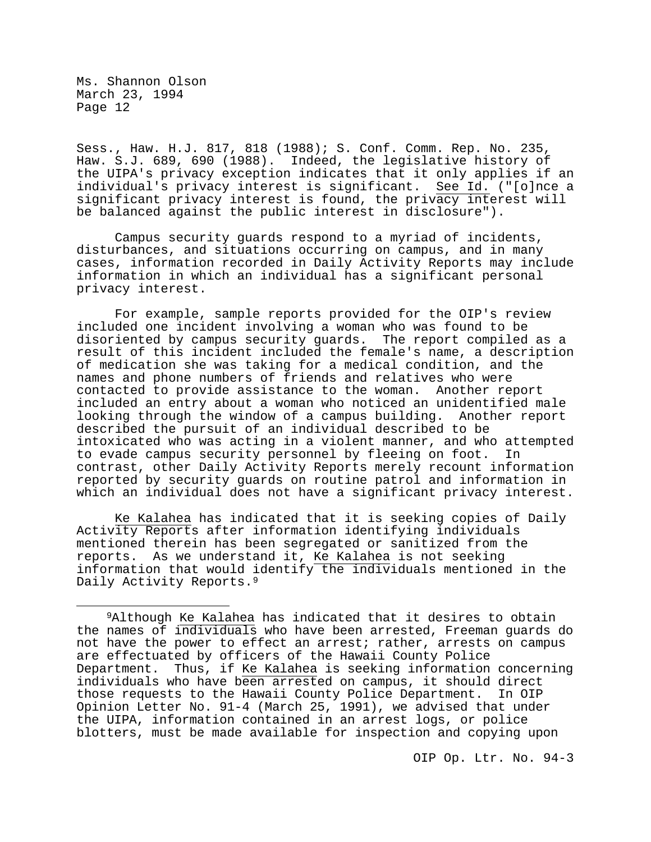Sess., Haw. H.J. 817, 818 (1988); S. Conf. Comm. Rep. No. 235, Haw. S.J. 689, 690 (1988). Indeed, the legislative history of the UIPA's privacy exception indicates that it only applies if an individual's privacy interest is significant. See Id. ("[o]nce a significant privacy interest is found, the privacy interest will be balanced against the public interest in disclosure").

Campus security guards respond to a myriad of incidents, disturbances, and situations occurring on campus, and in many cases, information recorded in Daily Activity Reports may include information in which an individual has a significant personal privacy interest.

For example, sample reports provided for the OIP's review included one incident involving a woman who was found to be disoriented by campus security guards. The report compiled as a result of this incident included the female's name, a description of medication she was taking for a medical condition, and the names and phone numbers of friends and relatives who were contacted to provide assistance to the woman. Another report included an entry about a woman who noticed an unidentified male looking through the window of a campus building. Another report described the pursuit of an individual described to be intoxicated who was acting in a violent manner, and who attempted to evade campus security personnel by fleeing on foot. contrast, other Daily Activity Reports merely recount information reported by security guards on routine patrol and information in which an individual does not have a significant privacy interest.

Ke Kalahea has indicated that it is seeking copies of Daily Activity Reports after information identifying individuals mentioned therein has been segregated or sanitized from the reports. As we understand it, Ke Kalahea is not seeking information that would identify the individuals mentioned in the Daily Activity Reports.<sup>[9](#page-11-0)</sup>

<span id="page-11-0"></span>Ĩ. 9Although Ke Kalahea has indicated that it desires to obtain the names of individuals who have been arrested, Freeman guards do not have the power to effect an arrest; rather, arrests on campus are effectuated by officers of the Hawaii County Police Department. Thus, if Ke Kalahea is seeking information concerning individuals who have been arrested on campus, it should direct those requests to the Hawaii County Police Department. In OIP Opinion Letter No. 91-4 (March 25, 1991), we advised that under the UIPA, information contained in an arrest logs, or police blotters, must be made available for inspection and copying upon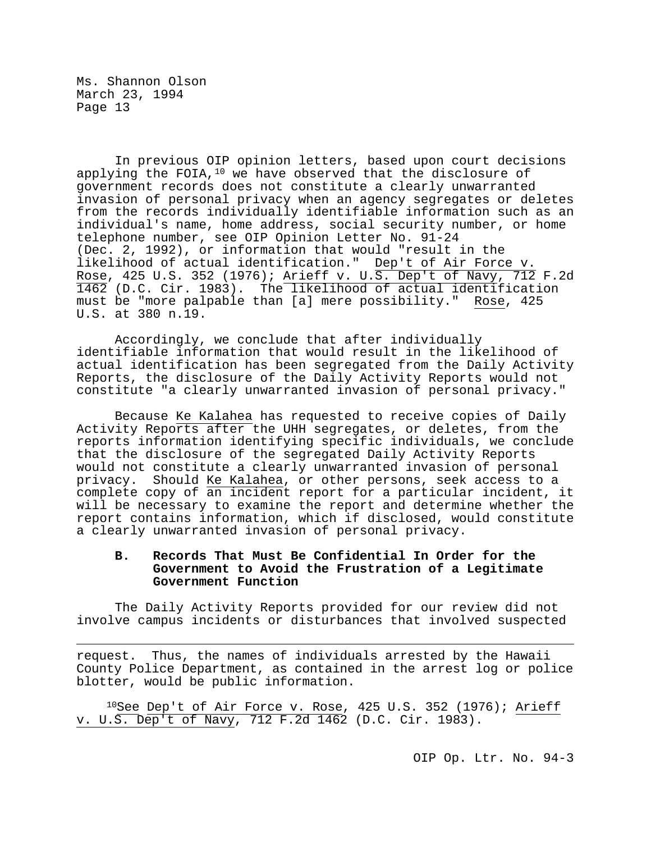In previous OIP opinion letters, based upon court decisions applying the FOIA, $10$  we have observed that the disclosure of government records does not constitute a clearly unwarranted invasion of personal privacy when an agency segregates or deletes from the records individually identifiable information such as an individual's name, home address, social security number, or home telephone number, see OIP Opinion Letter No. 91-24 (Dec. 2, 1992), or information that would "result in the likelihood of actual identification." Dep't of Air Force v. Rose, 425 U.S. 352 (1976); Arieff v. U.S. Dep't of Navy, 712 F.2d 1462 (D.C. Cir. 1983). The likelihood of actual identification must be "more palpable than [a] mere possibility." Rose, 425 U.S. at 380 n.19.

Accordingly, we conclude that after individually identifiable information that would result in the likelihood of actual identification has been segregated from the Daily Activity Reports, the disclosure of the Daily Activity Reports would not constitute "a clearly unwarranted invasion of personal privacy."

Because Ke Kalahea has requested to receive copies of Daily Activity Reports after the UHH segregates, or deletes, from the reports information identifying specific individuals, we conclude that the disclosure of the segregated Daily Activity Reports would not constitute a clearly unwarranted invasion of personal privacy. Should Ke Kalahea, or other persons, seek access to a complete copy of an incident report for a particular incident, it will be necessary to examine the report and determine whether the report contains information, which if disclosed, would constitute a clearly unwarranted invasion of personal privacy.

# **B. Records That Must Be Confidential In Order for the Government to Avoid the Frustration of a Legitimate Government Function**

The Daily Activity Reports provided for our review did not involve campus incidents or disturbances that involved suspected

Ĩ. request. Thus, the names of individuals arrested by the Hawaii County Police Department, as contained in the arrest log or police blotter, would be public information.

<span id="page-12-0"></span> $10$ See Dep't of Air Force v. Rose, 425 U.S. 352 (1976); Arieff v. U.S. Dep't of Navy, 712 F.2d 1462 (D.C. Cir. 1983).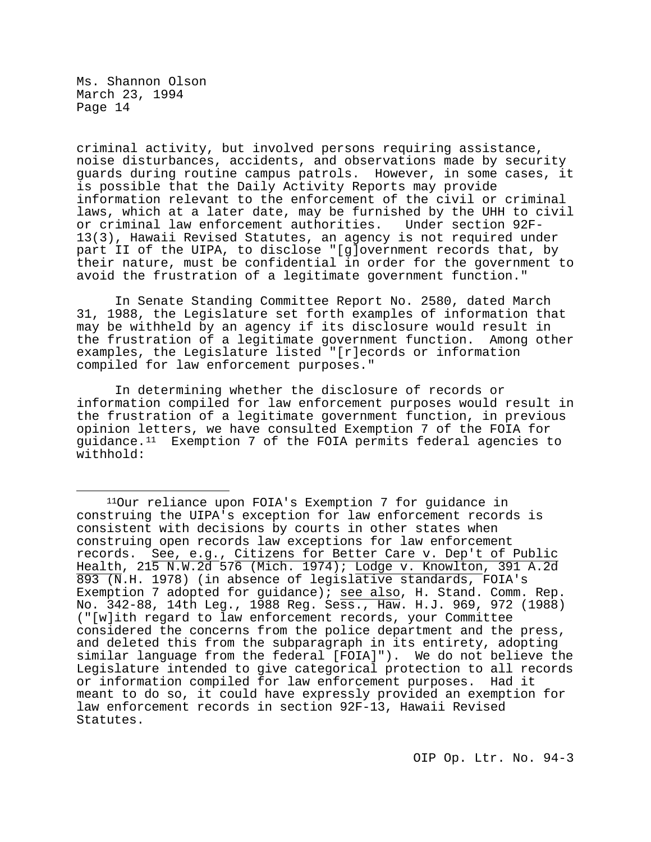criminal activity, but involved persons requiring assistance, noise disturbances, accidents, and observations made by security guards during routine campus patrols. However, in some cases, it is possible that the Daily Activity Reports may provide information relevant to the enforcement of the civil or criminal laws, which at a later date, may be furnished by the UHH to civil<br>or criminal law enforcement authorities. Under section 92F-13(3), Hawaii Revised Statutes, an agency is not required under part II of the UIPA, to disclose "[g]overnment records that, by their nature, must be confidential in order for the government to avoid the frustration of a legitimate government function."

In Senate Standing Committee Report No. 2580, dated March 31, 1988, the Legislature set forth examples of information that may be withheld by an agency if its disclosure would result in the frustration of a legitimate government function. Among other examples, the Legislature listed "[r]ecords or information compiled for law enforcement purposes."

In determining whether the disclosure of records or information compiled for law enforcement purposes would result in the frustration of a legitimate government function, in previous opinion letters, we have consulted Exemption 7 of the FOIA for guidance.[11](#page-13-0) Exemption 7 of the FOIA permits federal agencies to withhold:

<span id="page-13-0"></span>Ĩ. 11Our reliance upon FOIA's Exemption 7 for guidance in construing the UIPA's exception for law enforcement records is consistent with decisions by courts in other states when construing open records law exceptions for law enforcement records. See, e.g., Citizens for Better Care v. Dep't of Public Health, 215 N.W.2d 576 (Mich. 1974); Lodge v. Knowlton, 391 A.2d 893 (N.H. 1978) (in absence of legislative standards, FOIA's Exemption 7 adopted for guidance); see also, H. Stand. Comm. Rep. No. 342-88, 14th Leg., 1988 Reg. Sess., Haw. H.J. 969, 972 (1988) ("[w]ith regard to law enforcement records, your Committee considered the concerns from the police department and the press, and deleted this from the subparagraph in its entirety, adopting similar language from the federal [FOIA]"). We do not believe the Legislature intended to give categorical protection to all records or information compiled for law enforcement purposes. Had it meant to do so, it could have expressly provided an exemption for law enforcement records in section 92F-13, Hawaii Revised Statutes.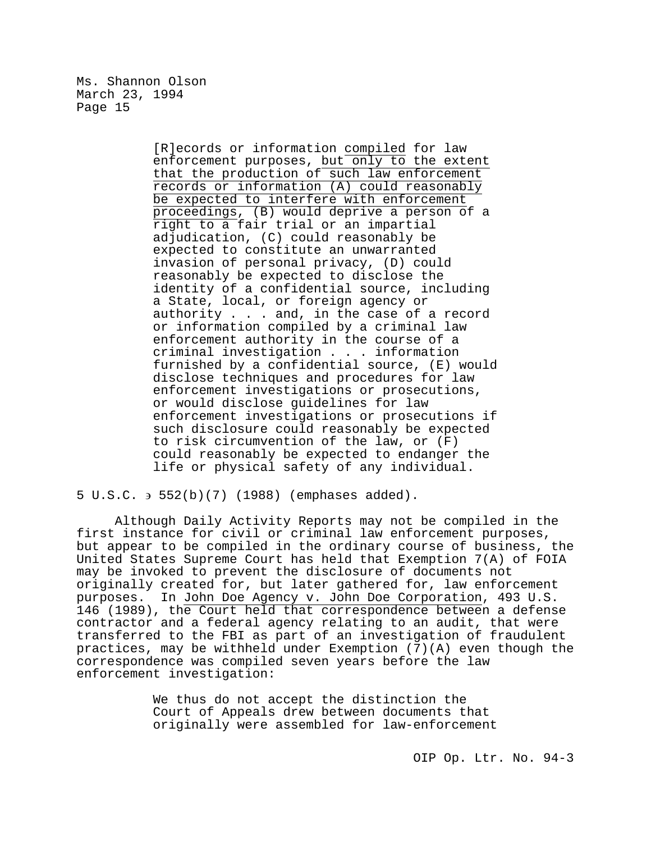> [R]ecords or information compiled for law enforcement purposes, but only to the extent that the production of such law enforcement records or information (A) could reasonably be expected to interfere with enforcement proceedings, (B) would deprive a person of a right to a fair trial or an impartial adjudication, (C) could reasonably be expected to constitute an unwarranted invasion of personal privacy, (D) could reasonably be expected to disclose the identity of a confidential source, including a State, local, or foreign agency or authority . . . and, in the case of a record or information compiled by a criminal law enforcement authority in the course of a criminal investigation . . . information furnished by a confidential source, (E) would disclose techniques and procedures for law enforcement investigations or prosecutions, or would disclose guidelines for law enforcement investigations or prosecutions if such disclosure could reasonably be expected to risk circumvention of the law, or (F) could reasonably be expected to endanger the life or physical safety of any individual.

5 U.S.C. ∋ 552(b)(7) (1988) (emphases added).

Although Daily Activity Reports may not be compiled in the first instance for civil or criminal law enforcement purposes, but appear to be compiled in the ordinary course of business, the United States Supreme Court has held that Exemption 7(A) of FOIA may be invoked to prevent the disclosure of documents not originally created for, but later gathered for, law enforcement purposes. In John Doe Agency v. John Doe Corporation, 493 U.S. 146 (1989), the Court held that correspondence between a defense contractor and a federal agency relating to an audit, that were transferred to the FBI as part of an investigation of fraudulent practices, may be withheld under Exemption (7)(A) even though the correspondence was compiled seven years before the law enforcement investigation:

> We thus do not accept the distinction the Court of Appeals drew between documents that originally were assembled for law-enforcement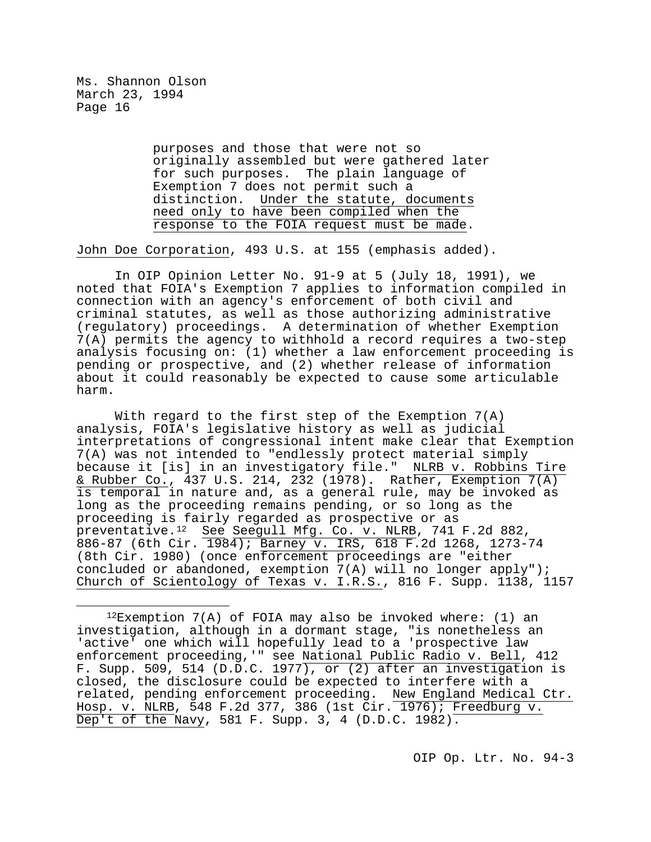> purposes and those that were not so originally assembled but were gathered later for such purposes. The plain language of Exemption 7 does not permit such a distinction. Under the statute, documents need only to have been compiled when the response to the FOIA request must be made.

John Doe Corporation, 493 U.S. at 155 (emphasis added).

In OIP Opinion Letter No. 91-9 at 5 (July 18, 1991), we noted that FOIA's Exemption 7 applies to information compiled in connection with an agency's enforcement of both civil and criminal statutes, as well as those authorizing administrative (regulatory) proceedings. A determination of whether Exemption 7(A) permits the agency to withhold a record requires a two-step analysis focusing on: (1) whether a law enforcement proceeding is pending or prospective, and (2) whether release of information about it could reasonably be expected to cause some articulable harm.

With regard to the first step of the Exemption 7(A) analysis, FOIA's legislative history as well as judicial interpretations of congressional intent make clear that Exemption 7(A) was not intended to "endlessly protect material simply because it [is] in an investigatory file." NLRB v. Robbins Tire & Rubber Co., 437 U.S. 214, 232 (1978). Rather, Exemption 7(A) is temporal in nature and, as a general rule, may be invoked as long as the proceeding remains pending, or so long as the proceeding is fairly regarded as prospective or as preventative.[12](#page-15-0) See Seegull Mfg. Co. v. NLRB, 741 F.2d 882, 886-87 (6th Cir. 1984); Barney v. IRS, 618 F.2d 1268, 1273-74 (8th Cir. 1980) (once enforcement proceedings are "either concluded or abandoned, exemption 7(A) will no longer apply"); Church of Scientology of Texas v. I.R.S., 816 F. Supp. 1138, 1157

<span id="page-15-0"></span>Ĩ.  $12$ Exemption 7(A) of FOIA may also be invoked where: (1) an investigation, although in a dormant stage, "is nonetheless an 'active' one which will hopefully lead to a 'prospective law enforcement proceeding,'" see National Public Radio v. Bell, 412 F. Supp. 509, 514 (D.D.C. 1977), or (2) after an investigation is closed, the disclosure could be expected to interfere with a related, pending enforcement proceeding. New England Medical Ctr. Hosp. v. NLRB, 548 F.2d 377, 386 (1st Cir. 1976); Freedburg v. Dep't of the Navy, 581 F. Supp. 3, 4  $(D.D.C. 1982)$ .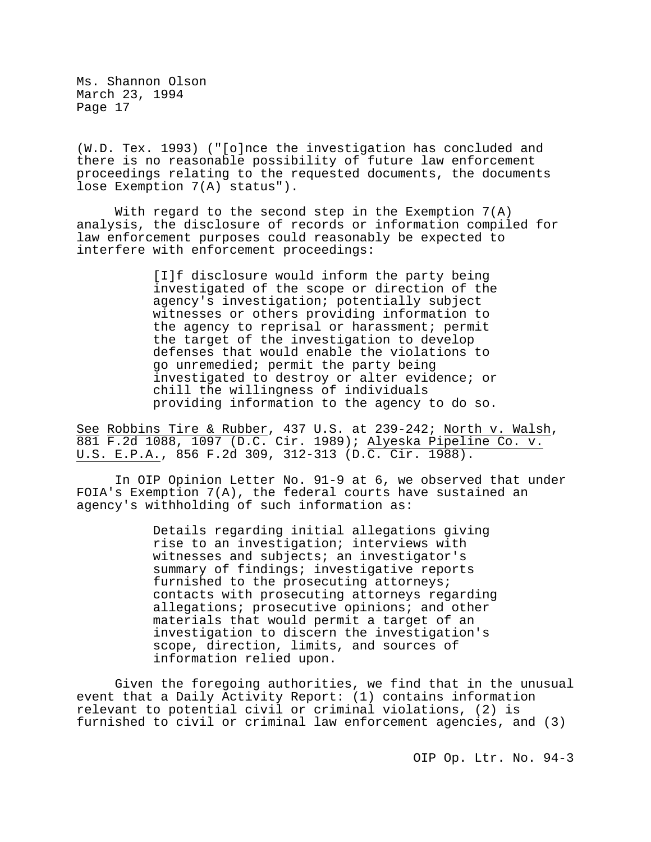(W.D. Tex. 1993) ("[o]nce the investigation has concluded and there is no reasonable possibility of future law enforcement proceedings relating to the requested documents, the documents lose Exemption 7(A) status").

With regard to the second step in the Exemption  $7(A)$ analysis, the disclosure of records or information compiled for law enforcement purposes could reasonably be expected to interfere with enforcement proceedings:

> [I]f disclosure would inform the party being investigated of the scope or direction of the agency's investigation; potentially subject witnesses or others providing information to the agency to reprisal or harassment; permit the target of the investigation to develop defenses that would enable the violations to go unremedied; permit the party being investigated to destroy or alter evidence; or chill the willingness of individuals providing information to the agency to do so.

See Robbins Tire & Rubber, 437 U.S. at 239-242; North v. Walsh, 881 F.2d 1088, 1097 (D.C. Cir. 1989); Alyeska Pipeline Co. v. U.S. E.P.A., 856 F.2d 309, 312-313 (D.C. Cir. 1988).

In OIP Opinion Letter No. 91-9 at 6, we observed that under FOIA's Exemption 7(A), the federal courts have sustained an agency's withholding of such information as:

> Details regarding initial allegations giving rise to an investigation; interviews with witnesses and subjects; an investigator's summary of findings; investigative reports furnished to the prosecuting attorneys; contacts with prosecuting attorneys regarding allegations; prosecutive opinions; and other materials that would permit a target of an investigation to discern the investigation's scope, direction, limits, and sources of information relied upon.

Given the foregoing authorities, we find that in the unusual event that a Daily Activity Report: (1) contains information relevant to potential civil or criminal violations, (2) is furnished to civil or criminal law enforcement agencies, and (3)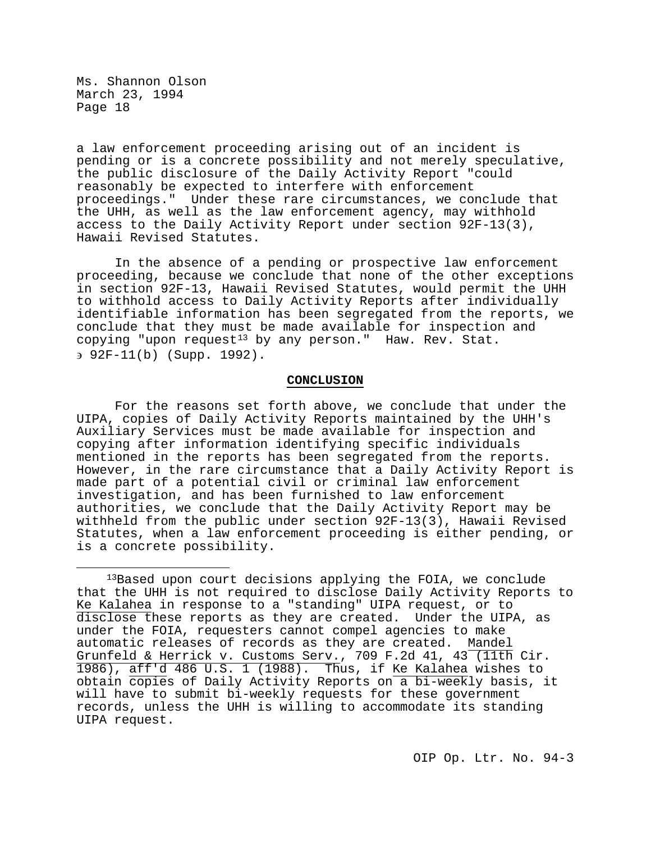a law enforcement proceeding arising out of an incident is pending or is a concrete possibility and not merely speculative, the public disclosure of the Daily Activity Report "could reasonably be expected to interfere with enforcement proceedings." Under these rare circumstances, we conclude that the UHH, as well as the law enforcement agency, may withhold access to the Daily Activity Report under section 92F-13(3), Hawaii Revised Statutes.

In the absence of a pending or prospective law enforcement proceeding, because we conclude that none of the other exceptions in section 92F-13, Hawaii Revised Statutes, would permit the UHH to withhold access to Daily Activity Reports after individually identifiable information has been segregated from the reports, we conclude that they must be made available for inspection and copying "upon request<sup>[13](#page-17-0)</sup> by any person." Haw. Rev. Stat. ∋ 92F-11(b) (Supp. 1992).

## **CONCLUSION**

For the reasons set forth above, we conclude that under the UIPA, copies of Daily Activity Reports maintained by the UHH's Auxiliary Services must be made available for inspection and copying after information identifying specific individuals mentioned in the reports has been segregated from the reports. However, in the rare circumstance that a Daily Activity Report is made part of a potential civil or criminal law enforcement investigation, and has been furnished to law enforcement authorities, we conclude that the Daily Activity Report may be withheld from the public under section 92F-13(3), Hawaii Revised Statutes, when a law enforcement proceeding is either pending, or is a concrete possibility.

<span id="page-17-0"></span>Ĩ. 13Based upon court decisions applying the FOIA, we conclude that the UHH is not required to disclose Daily Activity Reports to Ke Kalahea in response to a "standing" UIPA request, or to disclose these reports as they are created. Under the UIPA, as under the FOIA, requesters cannot compel agencies to make automatic releases of records as they are created. Mandel Grunfeld & Herrick v. Customs Serv., 709 F.2d 41, 43 (11th Cir. 1986), aff'd 486 U.S. 1 (1988). Thus, if Ke Kalahea wishes to obtain copies of Daily Activity Reports on a bi-weekly basis, it will have to submit bi-weekly requests for these government records, unless the UHH is willing to accommodate its standing UIPA request.